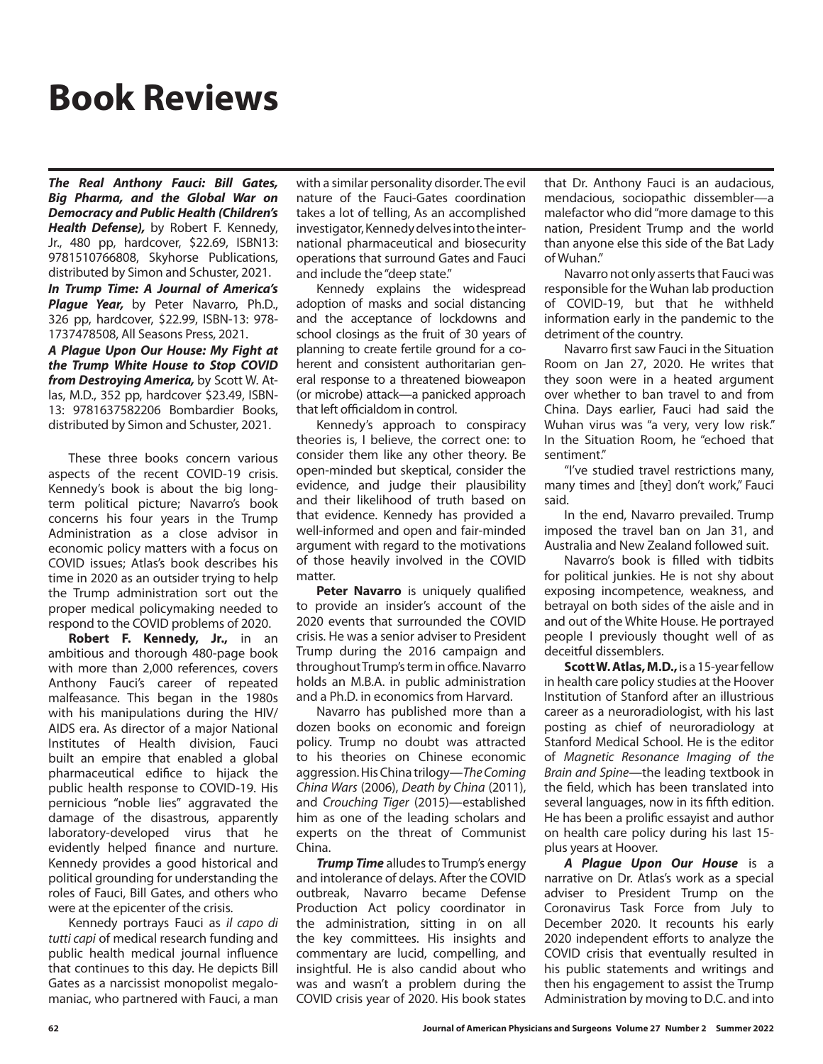## **Book Reviews**

*The Real Anthony Fauci: Bill Gates, Big Pharma, and the Global War on Democracy and Public Health (Children's Health Defense),* by Robert F. Kennedy, Jr., 480 pp, hardcover, \$22.69, ISBN13: 9781510766808, Skyhorse Publications, distributed by Simon and Schuster, 2021. *In Trump Time: A Journal of America's* 

*Plague Year,* by Peter Navarro, Ph.D., 326 pp, hardcover, \$22.99, ISBN-13: 978- 1737478508, All Seasons Press, 2021.

*A Plague Upon Our House: My Fight at the Trump White House to Stop COVID from Destroying America,* by Scott W. Atlas, M.D., 352 pp, hardcover \$23.49, ISBN-13: 9781637582206 Bombardier Books, distributed by Simon and Schuster, 2021.

These three books concern various aspects of the recent COVID-19 crisis. Kennedy's book is about the big longterm political picture; Navarro's book concerns his four years in the Trump Administration as a close advisor in economic policy matters with a focus on COVID issues; Atlas's book describes his time in 2020 as an outsider trying to help the Trump administration sort out the proper medical policymaking needed to respond to the COVID problems of 2020.

**Robert F. Kennedy, Jr.,** in an ambitious and thorough 480-page book with more than 2,000 references, covers Anthony Fauci's career of repeated malfeasance. This began in the 1980s with his manipulations during the HIV/ AIDS era. As director of a major National Institutes of Health division, Fauci built an empire that enabled a global pharmaceutical edifice to hijack the public health response to COVID-19. His pernicious "noble lies" aggravated the damage of the disastrous, apparently laboratory-developed virus that he evidently helped finance and nurture. Kennedy provides a good historical and political grounding for understanding the roles of Fauci, Bill Gates, and others who were at the epicenter of the crisis.

Kennedy portrays Fauci as *il capo di tutti capi* of medical research funding and public health medical journal influence that continues to this day. He depicts Bill Gates as a narcissist monopolist megalomaniac, who partnered with Fauci, a man with a similar personality disorder. The evil nature of the Fauci-Gates coordination takes a lot of telling, As an accomplished investigator, Kennedy delves into the international pharmaceutical and biosecurity operations that surround Gates and Fauci and include the "deep state."

Kennedy explains the widespread adoption of masks and social distancing and the acceptance of lockdowns and school closings as the fruit of 30 years of planning to create fertile ground for a coherent and consistent authoritarian general response to a threatened bioweapon (or microbe) attack—a panicked approach that left officialdom in control.

Kennedy's approach to conspiracy theories is, I believe, the correct one: to consider them like any other theory. Be open-minded but skeptical, consider the evidence, and judge their plausibility and their likelihood of truth based on that evidence. Kennedy has provided a well-informed and open and fair-minded argument with regard to the motivations of those heavily involved in the COVID matter.

Peter Navarro is uniquely qualified to provide an insider's account of the 2020 events that surrounded the COVID crisis. He was a senior adviser to President Trump during the 2016 campaign and throughout Trump's term in office. Navarro holds an M.B.A. in public administration and a Ph.D. in economics from Harvard.

Navarro has published more than a dozen books on economic and foreign policy. Trump no doubt was attracted to his theories on Chinese economic aggression. His China trilogy—*The Coming China Wars* (2006), *Death by China* (2011), and *Crouching Tiger* (2015)—established him as one of the leading scholars and experts on the threat of Communist China.

**Trump Time** alludes to Trump's energy and intolerance of delays. After the COVID outbreak, Navarro became Defense Production Act policy coordinator in the administration, sitting in on all the key committees. His insights and commentary are lucid, compelling, and insightful. He is also candid about who was and wasn't a problem during the COVID crisis year of 2020. His book states

that Dr. Anthony Fauci is an audacious, mendacious, sociopathic dissembler—a malefactor who did "more damage to this nation, President Trump and the world than anyone else this side of the Bat Lady of Wuhan."

Navarro not only asserts that Fauci was responsible for the Wuhan lab production of COVID-19, but that he withheld information early in the pandemic to the detriment of the country.

Navarro first saw Fauci in the Situation Room on Jan 27, 2020. He writes that they soon were in a heated argument over whether to ban travel to and from China. Days earlier, Fauci had said the Wuhan virus was "a very, very low risk." In the Situation Room, he "echoed that sentiment."

"I've studied travel restrictions many, many times and [they] don't work," Fauci said.

In the end, Navarro prevailed. Trump imposed the travel ban on Jan 31, and Australia and New Zealand followed suit.

Navarro's book is filled with tidbits for political junkies. He is not shy about exposing incompetence, weakness, and betrayal on both sides of the aisle and in and out of the White House. He portrayed people I previously thought well of as deceitful dissemblers.

**Scott W. Atlas, M.D.,** is a 15-year fellow in health care policy studies at the Hoover Institution of Stanford after an illustrious career as a neuroradiologist, with his last posting as chief of neuroradiology at Stanford Medical School. He is the editor of *Magnetic Resonance Imaging of the Brain and Spine*—the leading textbook in the field, which has been translated into several languages, now in its fifth edition. He has been a prolific essayist and author on health care policy during his last 15 plus years at Hoover.

*A Plague Upon Our House* is a narrative on Dr. Atlas's work as a special adviser to President Trump on the Coronavirus Task Force from July to December 2020. It recounts his early 2020 independent efforts to analyze the COVID crisis that eventually resulted in his public statements and writings and then his engagement to assist the Trump Administration by moving to D.C. and into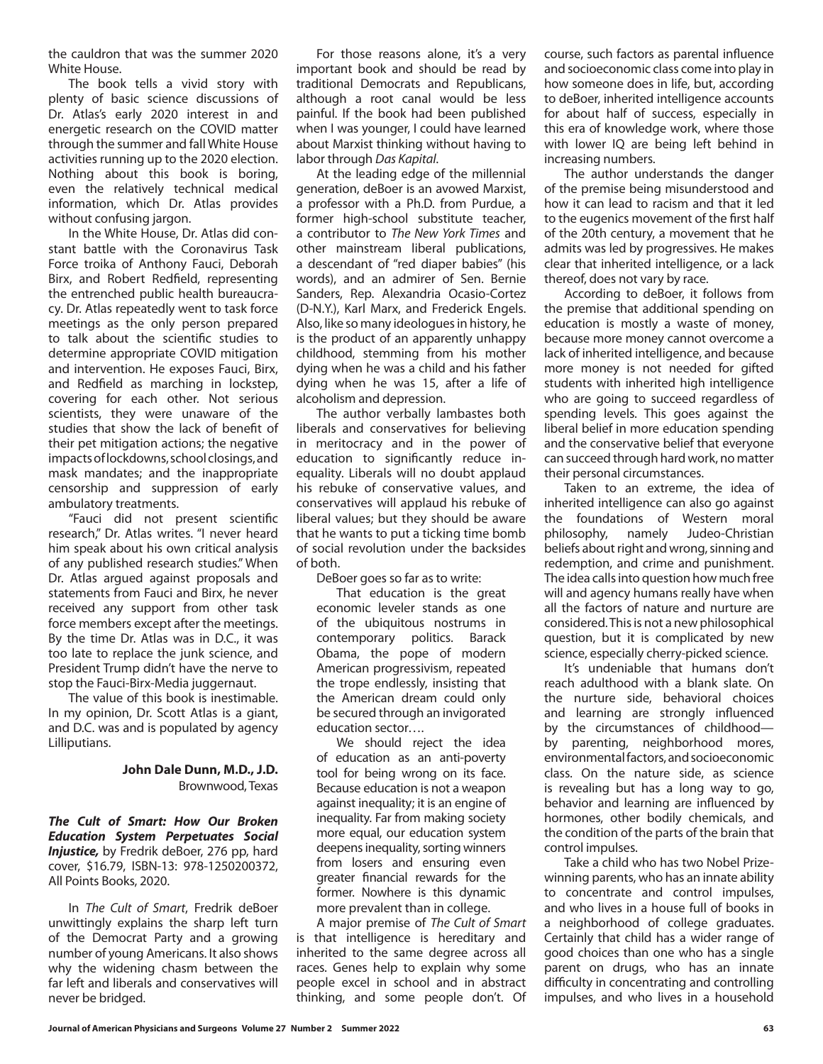the cauldron that was the summer 2020 White House.

The book tells a vivid story with plenty of basic science discussions of Dr. Atlas's early 2020 interest in and energetic research on the COVID matter through the summer and fall White House activities running up to the 2020 election. Nothing about this book is boring, even the relatively technical medical information, which Dr. Atlas provides without confusing jargon.

In the White House, Dr. Atlas did constant battle with the Coronavirus Task Force troika of Anthony Fauci, Deborah Birx, and Robert Redfield, representing the entrenched public health bureaucracy. Dr. Atlas repeatedly went to task force meetings as the only person prepared to talk about the scientific studies to determine appropriate COVID mitigation and intervention. He exposes Fauci, Birx, and Redfield as marching in lockstep, covering for each other. Not serious scientists, they were unaware of the studies that show the lack of benefit of their pet mitigation actions; the negative impacts of lockdowns, school closings, and mask mandates; and the inappropriate censorship and suppression of early ambulatory treatments.

"Fauci did not present scientific research," Dr. Atlas writes. "I never heard him speak about his own critical analysis of any published research studies." When Dr. Atlas argued against proposals and statements from Fauci and Birx, he never received any support from other task force members except after the meetings. By the time Dr. Atlas was in D.C., it was too late to replace the junk science, and President Trump didn't have the nerve to stop the Fauci-Birx-Media juggernaut.

The value of this book is inestimable. In my opinion, Dr. Scott Atlas is a giant, and D.C. was and is populated by agency Lilliputians.

## **John Dale Dunn, M.D., J.D.** Brownwood, Texas

*The Cult of Smart: How Our Broken Education System Perpetuates Social Injustice,* by Fredrik deBoer, 276 pp, hard cover, \$16.79, ISBN-13: 978-1250200372, All Points Books, 2020.

In *The Cult of Smart*, Fredrik deBoer unwittingly explains the sharp left turn of the Democrat Party and a growing number of young Americans. It also shows why the widening chasm between the far left and liberals and conservatives will never be bridged.

For those reasons alone, it's a very important book and should be read by traditional Democrats and Republicans, although a root canal would be less painful. If the book had been published when I was younger, I could have learned about Marxist thinking without having to labor through *Das Kapital*.

At the leading edge of the millennial generation, deBoer is an avowed Marxist, a professor with a Ph.D. from Purdue, a former high-school substitute teacher, a contributor to *The New York Times* and other mainstream liberal publications, a descendant of "red diaper babies" (his words), and an admirer of Sen. Bernie Sanders, Rep. Alexandria Ocasio-Cortez (D-N.Y.), Karl Marx, and Frederick Engels. Also, like so many ideologues in history, he is the product of an apparently unhappy childhood, stemming from his mother dying when he was a child and his father dying when he was 15, after a life of alcoholism and depression.

The author verbally lambastes both liberals and conservatives for believing in meritocracy and in the power of education to significantly reduce inequality. Liberals will no doubt applaud his rebuke of conservative values, and conservatives will applaud his rebuke of liberal values; but they should be aware that he wants to put a ticking time bomb of social revolution under the backsides of both.

DeBoer goes so far as to write:

That education is the great economic leveler stands as one of the ubiquitous nostrums in contemporary politics. Barack Obama, the pope of modern American progressivism, repeated the trope endlessly, insisting that the American dream could only be secured through an invigorated education sector….

We should reject the idea of education as an anti-poverty tool for being wrong on its face. Because education is not a weapon against inequality; it is an engine of inequality. Far from making society more equal, our education system deepens inequality, sorting winners from losers and ensuring even greater financial rewards for the former. Nowhere is this dynamic more prevalent than in college.

A major premise of *The Cult of Smart* is that intelligence is hereditary and inherited to the same degree across all races. Genes help to explain why some people excel in school and in abstract thinking, and some people don't. Of course, such factors as parental influence and socioeconomic class come into play in how someone does in life, but, according to deBoer, inherited intelligence accounts for about half of success, especially in this era of knowledge work, where those with lower IQ are being left behind in increasing numbers.

The author understands the danger of the premise being misunderstood and how it can lead to racism and that it led to the eugenics movement of the first half of the 20th century, a movement that he admits was led by progressives. He makes clear that inherited intelligence, or a lack thereof, does not vary by race.

According to deBoer, it follows from the premise that additional spending on education is mostly a waste of money, because more money cannot overcome a lack of inherited intelligence, and because more money is not needed for gifted students with inherited high intelligence who are going to succeed regardless of spending levels. This goes against the liberal belief in more education spending and the conservative belief that everyone can succeed through hard work, no matter their personal circumstances.

Taken to an extreme, the idea of inherited intelligence can also go against the foundations of Western moral philosophy, namely Judeo-Christian beliefs about right and wrong, sinning and redemption, and crime and punishment. The idea calls into question how much free will and agency humans really have when all the factors of nature and nurture are considered. This is not a new philosophical question, but it is complicated by new science, especially cherry-picked science.

It's undeniable that humans don't reach adulthood with a blank slate. On the nurture side, behavioral choices and learning are strongly influenced by the circumstances of childhood by parenting, neighborhood mores, environmental factors, and socioeconomic class. On the nature side, as science is revealing but has a long way to go, behavior and learning are influenced by hormones, other bodily chemicals, and the condition of the parts of the brain that control impulses.

Take a child who has two Nobel Prizewinning parents, who has an innate ability to concentrate and control impulses, and who lives in a house full of books in a neighborhood of college graduates. Certainly that child has a wider range of good choices than one who has a single parent on drugs, who has an innate difficulty in concentrating and controlling impulses, and who lives in a household